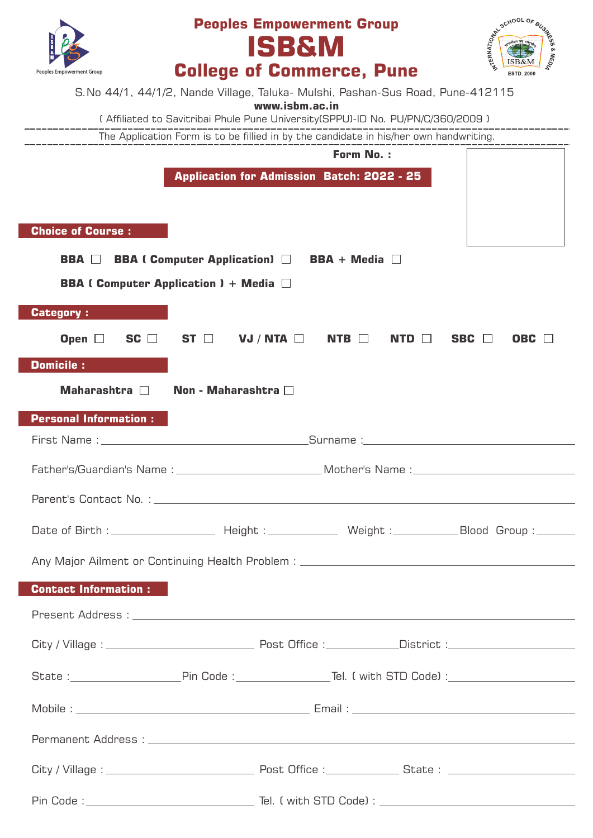|                                                                                                                | <b>Peoples Empowerment Group</b>                                                                               |                                                                                                               | AREA PLAN SURVEY SURVEY  |
|----------------------------------------------------------------------------------------------------------------|----------------------------------------------------------------------------------------------------------------|---------------------------------------------------------------------------------------------------------------|--------------------------|
|                                                                                                                | <b>ISB&amp;M</b><br><b>College of Commerce, Pune</b>                                                           |                                                                                                               |                          |
| Peoples Empowerment Group                                                                                      | S. No 44/1, 44/1/2, Nande Village, Taluka- Mulshi, Pashan-Sus Road, Pune-412115                                |                                                                                                               | <b>ESTD. 2000</b>        |
|                                                                                                                | www.isbm.ac.in<br>(Affiliated to Savitribai Phule Pune University(SPPU)-ID No. PU/PN/C/360/2009 )              |                                                                                                               |                          |
|                                                                                                                | The Application Form is to be fillied in by the candidate in his/her own handwriting.                          |                                                                                                               |                          |
|                                                                                                                |                                                                                                                | Form No.:                                                                                                     |                          |
|                                                                                                                | <b>Application for Admission Batch: 2022 - 25</b>                                                              |                                                                                                               |                          |
|                                                                                                                |                                                                                                                |                                                                                                               |                          |
| <b>Choice of Course:</b>                                                                                       |                                                                                                                |                                                                                                               |                          |
| BBA II                                                                                                         | <b>BBA ( Computer Application)</b> $\Box$                                                                      | <b>BBA + Media <math>\Box</math></b>                                                                          |                          |
| <b>BBA ( Computer Application ) + Media <math>\Box</math></b>                                                  |                                                                                                                |                                                                                                               |                          |
| <b>Category:</b>                                                                                               |                                                                                                                |                                                                                                               |                          |
| Open $\square$<br>SC $\Box$                                                                                    | ST $\Box$<br>VJ / NTA $\Box$                                                                                   | $NTB$ $\Box$<br><b>NTD</b><br>$\perp$                                                                         | <b>SBC</b><br><b>OBC</b> |
| <b>Domicile:</b>                                                                                               |                                                                                                                |                                                                                                               |                          |
| Maharashtra $\Box$                                                                                             | Non - Maharashtra $\Box$                                                                                       |                                                                                                               |                          |
|                                                                                                                |                                                                                                                |                                                                                                               |                          |
| <b>Personal Information:</b>                                                                                   |                                                                                                                |                                                                                                               |                          |
| First Name: The Committee of the Committee of the Committee of the Committee of the Committee of the Committee |                                                                                                                | Surname: will be a series of the series of the series of the series of the series of the series of the series |                          |
|                                                                                                                | Father's/Guardian's Name : __________________________________Mother's Name : _________________________________ |                                                                                                               |                          |
|                                                                                                                |                                                                                                                |                                                                                                               |                          |
|                                                                                                                |                                                                                                                |                                                                                                               |                          |
|                                                                                                                | Any Major Ailment or Continuing Health Problem: _________________________________                              |                                                                                                               |                          |
| <b>Contact Information:</b>                                                                                    |                                                                                                                |                                                                                                               |                          |
|                                                                                                                |                                                                                                                |                                                                                                               |                          |
|                                                                                                                |                                                                                                                |                                                                                                               |                          |
|                                                                                                                |                                                                                                                |                                                                                                               |                          |
|                                                                                                                |                                                                                                                |                                                                                                               |                          |
|                                                                                                                |                                                                                                                |                                                                                                               |                          |
|                                                                                                                |                                                                                                                |                                                                                                               |                          |